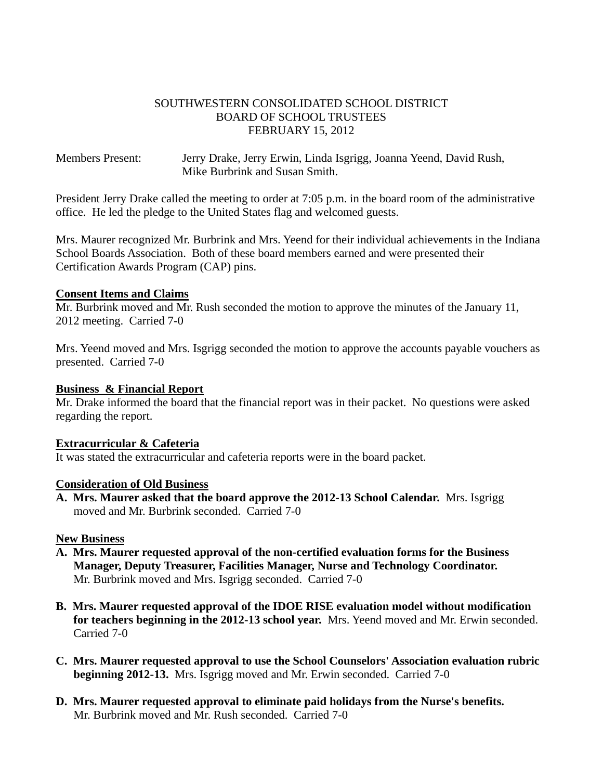### SOUTHWESTERN CONSOLIDATED SCHOOL DISTRICT BOARD OF SCHOOL TRUSTEES FEBRUARY 15, 2012

Members Present: Jerry Drake, Jerry Erwin, Linda Isgrigg, Joanna Yeend, David Rush, Mike Burbrink and Susan Smith.

President Jerry Drake called the meeting to order at 7:05 p.m. in the board room of the administrative office. He led the pledge to the United States flag and welcomed guests.

Mrs. Maurer recognized Mr. Burbrink and Mrs. Yeend for their individual achievements in the Indiana School Boards Association. Both of these board members earned and were presented their Certification Awards Program (CAP) pins.

#### **Consent Items and Claims**

Mr. Burbrink moved and Mr. Rush seconded the motion to approve the minutes of the January 11, 2012 meeting. Carried 7-0

Mrs. Yeend moved and Mrs. Isgrigg seconded the motion to approve the accounts payable vouchers as presented. Carried 7-0

#### **Business & Financial Report**

Mr. Drake informed the board that the financial report was in their packet. No questions were asked regarding the report.

### **Extracurricular & Cafeteria**

It was stated the extracurricular and cafeteria reports were in the board packet.

#### **Consideration of Old Business**

**A. Mrs. Maurer asked that the board approve the 2012-13 School Calendar.** Mrs. Isgrigg moved and Mr. Burbrink seconded. Carried 7-0

#### **New Business**

- **A. Mrs. Maurer requested approval of the non-certified evaluation forms for the Business Manager, Deputy Treasurer, Facilities Manager, Nurse and Technology Coordinator.** Mr. Burbrink moved and Mrs. Isgrigg seconded. Carried 7-0
- **B. Mrs. Maurer requested approval of the IDOE RISE evaluation model without modification for teachers beginning in the 2012-13 school year.** Mrs. Yeend moved and Mr. Erwin seconded. Carried 7-0
- **C. Mrs. Maurer requested approval to use the School Counselors' Association evaluation rubric beginning 2012-13.** Mrs. Isgrigg moved and Mr. Erwin seconded. Carried 7-0
- **D. Mrs. Maurer requested approval to eliminate paid holidays from the Nurse's benefits.** Mr. Burbrink moved and Mr. Rush seconded. Carried 7-0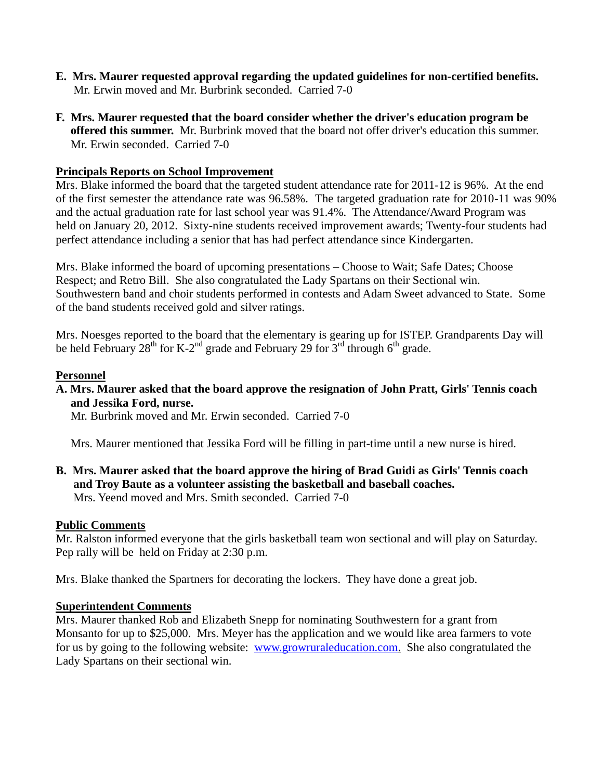- **E. Mrs. Maurer requested approval regarding the updated guidelines for non-certified benefits.** Mr. Erwin moved and Mr. Burbrink seconded. Carried 7-0
- **F. Mrs. Maurer requested that the board consider whether the driver's education program be offered this summer.** Mr. Burbrink moved that the board not offer driver's education this summer. Mr. Erwin seconded. Carried 7-0

# **Principals Reports on School Improvement**

Mrs. Blake informed the board that the targeted student attendance rate for 2011-12 is 96%. At the end of the first semester the attendance rate was 96.58%. The targeted graduation rate for 2010-11 was 90% and the actual graduation rate for last school year was 91.4%. The Attendance/Award Program was held on January 20, 2012. Sixty-nine students received improvement awards; Twenty-four students had perfect attendance including a senior that has had perfect attendance since Kindergarten.

Mrs. Blake informed the board of upcoming presentations – Choose to Wait; Safe Dates; Choose Respect; and Retro Bill. She also congratulated the Lady Spartans on their Sectional win. Southwestern band and choir students performed in contests and Adam Sweet advanced to State. Some of the band students received gold and silver ratings.

Mrs. Noesges reported to the board that the elementary is gearing up for ISTEP. Grandparents Day will be held February 28<sup>th</sup> for K-2<sup>nd</sup> grade and February 29 for  $3^{rd}$  through 6<sup>th</sup> grade.

# **Personnel**

**A. Mrs. Maurer asked that the board approve the resignation of John Pratt, Girls' Tennis coach and Jessika Ford, nurse.**

Mr. Burbrink moved and Mr. Erwin seconded. Carried 7-0

Mrs. Maurer mentioned that Jessika Ford will be filling in part-time until a new nurse is hired.

**B. Mrs. Maurer asked that the board approve the hiring of Brad Guidi as Girls' Tennis coach and Troy Baute as a volunteer assisting the basketball and baseball coaches.** Mrs. Yeend moved and Mrs. Smith seconded. Carried 7-0

# **Public Comments**

Mr. Ralston informed everyone that the girls basketball team won sectional and will play on Saturday. Pep rally will be held on Friday at 2:30 p.m.

Mrs. Blake thanked the Spartners for decorating the lockers. They have done a great job.

# **Superintendent Comments**

Mrs. Maurer thanked Rob and Elizabeth Snepp for nominating Southwestern for a grant from Monsanto for up to \$25,000. Mrs. Meyer has the application and we would like area farmers to vote for us by going to the following website: [www.growruraleducation.com.](http://www.growruraleducation.com/) She also congratulated the Lady Spartans on their sectional win.